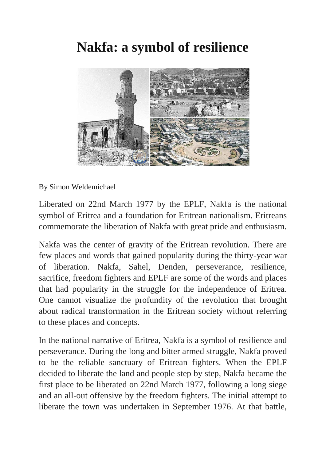## **Nakfa: a symbol of resilience**



By Simon Weldemichael

Liberated on 22nd March 1977 by the EPLF, Nakfa is the national symbol of Eritrea and a foundation for Eritrean nationalism. Eritreans commemorate the liberation of Nakfa with great pride and enthusiasm.

Nakfa was the center of gravity of the Eritrean revolution. There are few places and words that gained popularity during the thirty-year war of liberation. Nakfa, Sahel, Denden, perseverance, resilience, sacrifice, freedom fighters and EPLF are some of the words and places that had popularity in the struggle for the independence of Eritrea. One cannot visualize the profundity of the revolution that brought about radical transformation in the Eritrean society without referring to these places and concepts.

In the national narrative of Eritrea, Nakfa is a symbol of resilience and perseverance. During the long and bitter armed struggle, Nakfa proved to be the reliable sanctuary of Eritrean fighters. When the EPLF decided to liberate the land and people step by step, Nakfa became the first place to be liberated on 22nd March 1977, following a long siege and an all-out offensive by the freedom fighters. The initial attempt to liberate the town was undertaken in September 1976. At that battle,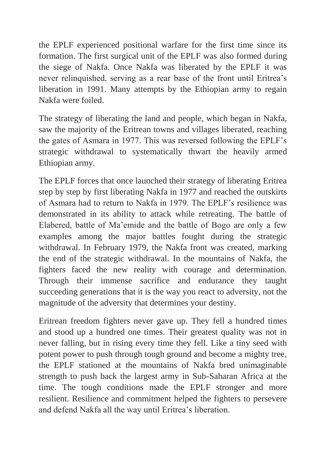the EPLF experienced positional warfare for the first time since its formation. The first surgical unit of the EPLF was also formed during the siege of Nakfa. Once Nakfa was liberated by the EPLF it was never relinquished, serving as a rear base of the front until Eritrea's liberation in 1991. Many attempts by the Ethiopian army to regain Nakfa were foiled.

The strategy of liberating the land and people, which began in Nakfa, saw the majority of the Eritrean towns and villages liberated, reaching the gates of Asmara in 1977. This was reversed following the EPLF's strategic withdrawal to systematically thwart the heavily armed Ethiopian army.

The EPLF forces that once launched their strategy of liberating Eritrea step by step by first liberating Nakfa in 1977 and reached the outskirts of Asmara had to return to Nakfa in 1979. The EPLF's resilience was demonstrated in its ability to attack while retreating. The battle of Elabered, battle of Ma'emide and the battle of Bogo are only a few examples among the major battles fought during the strategic withdrawal. In February 1979, the Nakfa front was created, marking the end of the strategic withdrawal. In the mountains of Nakfa, the fighters faced the new reality with courage and determination. Through their immense sacrifice and endurance they taught succeeding generations that it is the way you react to adversity, not the magnitude of the adversity that determines your destiny.

Eritrean freedom fighters never gave up. They fell a hundred times and stood up a hundred one times. Their greatest quality was not in never falling, but in rising every time they fell. Like a tiny seed with potent power to push through tough ground and become a mighty tree, the EPLF stationed at the mountains of Nakfa bred unimaginable strength to push back the largest army in Sub-Saharan Africa at the time. The tough conditions made the EPLF stronger and more resilient. Resilience and commitment helped the fighters to persevere and defend Nakfa all the way until Eritrea's liberation.